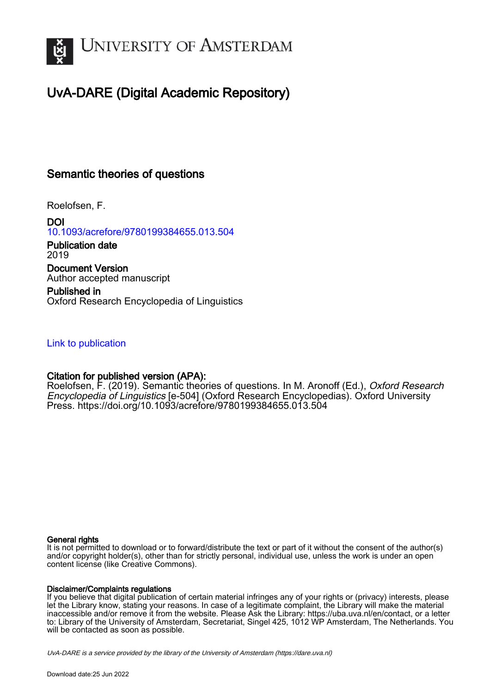

# UvA-DARE (Digital Academic Repository)

### Semantic theories of questions

Roelofsen, F.

DOI [10.1093/acrefore/9780199384655.013.504](https://doi.org/10.1093/acrefore/9780199384655.013.504)

Publication date 2019 Document Version Author accepted manuscript

Published in Oxford Research Encyclopedia of Linguistics

### [Link to publication](https://dare.uva.nl/personal/pure/en/publications/semantic-theories-of-questions(c1f163df-e16e-4ce3-b37e-a05e3021852e).html)

### Citation for published version (APA):

Roelofsen, F. (2019). Semantic theories of questions. In M. Aronoff (Ed.), *Oxford Research* Encyclopedia of Linguistics [e-504] (Oxford Research Encyclopedias). Oxford University Press.<https://doi.org/10.1093/acrefore/9780199384655.013.504>

#### General rights

It is not permitted to download or to forward/distribute the text or part of it without the consent of the author(s) and/or copyright holder(s), other than for strictly personal, individual use, unless the work is under an open content license (like Creative Commons).

#### Disclaimer/Complaints regulations

If you believe that digital publication of certain material infringes any of your rights or (privacy) interests, please let the Library know, stating your reasons. In case of a legitimate complaint, the Library will make the material inaccessible and/or remove it from the website. Please Ask the Library: https://uba.uva.nl/en/contact, or a letter to: Library of the University of Amsterdam, Secretariat, Singel 425, 1012 WP Amsterdam, The Netherlands. You will be contacted as soon as possible.

UvA-DARE is a service provided by the library of the University of Amsterdam (http*s*://dare.uva.nl)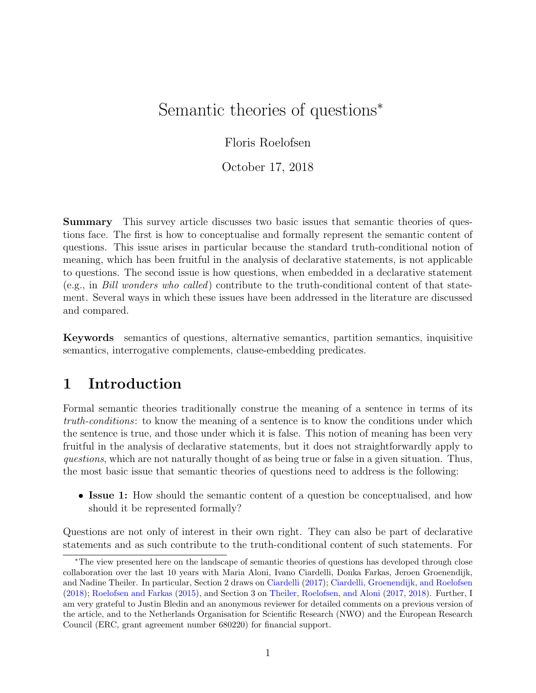# Semantic theories of questions<sup>∗</sup>

Floris Roelofsen

October 17, 2018

Summary This survey article discusses two basic issues that semantic theories of questions face. The first is how to conceptualise and formally represent the semantic content of questions. This issue arises in particular because the standard truth-conditional notion of meaning, which has been fruitful in the analysis of declarative statements, is not applicable to questions. The second issue is how questions, when embedded in a declarative statement (e.g., in Bill wonders who called) contribute to the truth-conditional content of that statement. Several ways in which these issues have been addressed in the literature are discussed and compared.

Keywords semantics of questions, alternative semantics, partition semantics, inquisitive semantics, interrogative complements, clause-embedding predicates.

## 1 Introduction

Formal semantic theories traditionally construe the meaning of a sentence in terms of its truth-conditions: to know the meaning of a sentence is to know the conditions under which the sentence is true, and those under which it is false. This notion of meaning has been very fruitful in the analysis of declarative statements, but it does not straightforwardly apply to questions, which are not naturally thought of as being true or false in a given situation. Thus, the most basic issue that semantic theories of questions need to address is the following:

• Issue 1: How should the semantic content of a question be conceptualised, and how should it be represented formally?

Questions are not only of interest in their own right. They can also be part of declarative statements and as such contribute to the truth-conditional content of such statements. For

<sup>∗</sup>The view presented here on the landscape of semantic theories of questions has developed through close collaboration over the last 10 years with Maria Aloni, Ivano Ciardelli, Donka Farkas, Jeroen Groenendijk, and Nadine Theiler. In particular, Section [2](#page-2-0) draws on [Ciardelli](#page-17-0) [\(2017\)](#page-17-0); [Ciardelli, Groenendijk, and Roelofsen](#page-17-1) [\(2018\)](#page-17-1); [Roelofsen and Farkas](#page-20-0) [\(2015\)](#page-20-0), and Section [3](#page-10-0) on [Theiler, Roelofsen, and Aloni](#page-20-1) [\(2017,](#page-20-1) [2018\)](#page-20-2). Further, I am very grateful to Justin Bledin and an anonymous reviewer for detailed comments on a previous version of the article, and to the Netherlands Organisation for Scientific Research (NWO) and the European Research Council (ERC, grant agreement number 680220) for financial support.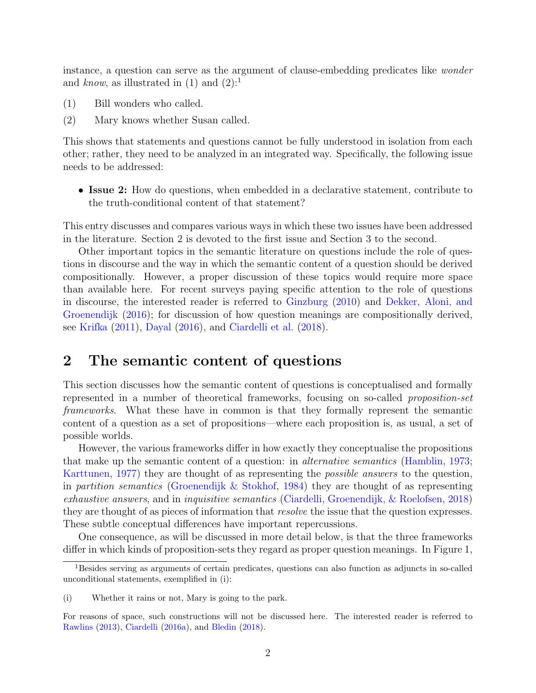instance, a question can serve as the argument of clause-embedding predicates like wonder and know, as illustrated in  $(1)$  $(1)$  $(1)$  and  $(2)$ :<sup>1</sup>

- (1) Bill wonders who called.
- (2) Mary knows whether Susan called.

This shows that statements and questions cannot be fully understood in isolation from each other; rather, they need to be analyzed in an integrated way. Specifically, the following issue needs to be addressed:

• Issue 2: How do questions, when embedded in a declarative statement, contribute to the truth-conditional content of that statement?

This entry discusses and compares various ways in which these two issues have been addressed in the literature. Section [2](#page-2-0) is devoted to the first issue and Section [3](#page-10-0) to the second.

Other important topics in the semantic literature on questions include the role of questions in discourse and the way in which the semantic content of a question should be derived compositionally. However, a proper discussion of these topics would require more space than available here. For recent surveys paying specific attention to the role of questions in discourse, the interested reader is referred to [Ginzburg](#page-18-0) [\(2010\)](#page-18-0) and [Dekker, Aloni, and](#page-17-2) [Groenendijk](#page-17-2) [\(2016\)](#page-17-2); for discussion of how question meanings are compositionally derived, see [Krifka](#page-19-0) [\(2011\)](#page-19-0), [Dayal](#page-17-3) [\(2016\)](#page-17-3), and [Ciardelli et al.](#page-17-1) [\(2018\)](#page-17-1).

## <span id="page-2-0"></span>2 The semantic content of questions

This section discusses how the semantic content of questions is conceptualised and formally represented in a number of theoretical frameworks, focusing on so-called proposition-set frameworks. What these have in common is that they formally represent the semantic content of a question as a set of propositions—where each proposition is, as usual, a set of possible worlds.

However, the various frameworks differ in how exactly they conceptualise the propositions that make up the semantic content of a question: in alternative semantics [\(Hamblin,](#page-18-1) [1973;](#page-18-1) [Karttunen,](#page-19-1) [1977\)](#page-19-1) they are thought of as representing the possible answers to the question, in partition semantics [\(Groenendijk & Stokhof,](#page-18-2) [1984\)](#page-18-2) they are thought of as representing exhaustive answers, and in inquisitive semantics [\(Ciardelli, Groenendijk, & Roelofsen,](#page-17-1) [2018\)](#page-17-1) they are thought of as pieces of information that *resolve* the issue that the question expresses. These subtle conceptual differences have important repercussions.

One consequence, as will be discussed in more detail below, is that the three frameworks differ in which kinds of proposition-sets they regard as proper question meanings. In Figure [1,](#page-3-0)

<span id="page-2-1"></span><sup>1</sup>Besides serving as arguments of certain predicates, questions can also function as adjuncts in so-called unconditional statements, exemplified in [\(i\):](#page-2-2)

<span id="page-2-2"></span><sup>(</sup>i) Whether it rains or not, Mary is going to the park.

For reasons of space, such constructions will not be discussed here. The interested reader is referred to [Rawlins](#page-20-3) [\(2013\)](#page-20-3), [Ciardelli](#page-17-4) [\(2016a\)](#page-17-4), and [Bledin](#page-17-5) [\(2018\)](#page-17-5).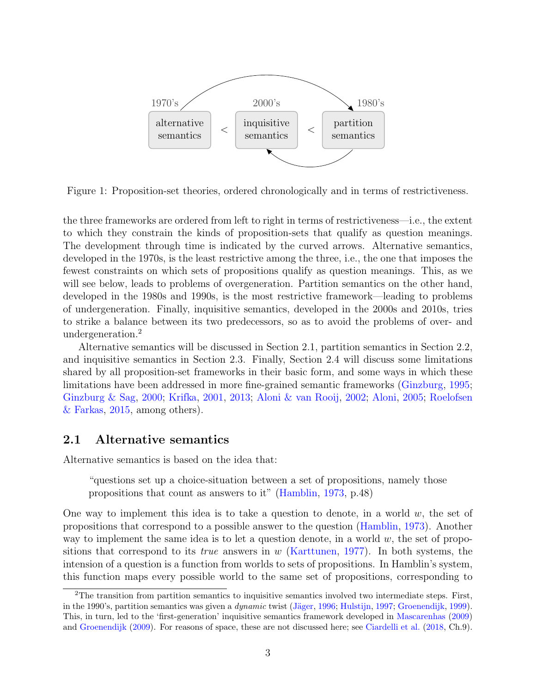

<span id="page-3-0"></span>Figure 1: Proposition-set theories, ordered chronologically and in terms of restrictiveness.

the three frameworks are ordered from left to right in terms of restrictiveness—i.e., the extent to which they constrain the kinds of proposition-sets that qualify as question meanings. The development through time is indicated by the curved arrows. Alternative semantics, developed in the 1970s, is the least restrictive among the three, i.e., the one that imposes the fewest constraints on which sets of propositions qualify as question meanings. This, as we will see below, leads to problems of overgeneration. Partition semantics on the other hand, developed in the 1980s and 1990s, is the most restrictive framework—leading to problems of undergeneration. Finally, inquisitive semantics, developed in the 2000s and 2010s, tries to strike a balance between its two predecessors, so as to avoid the problems of over- and undergeneration.[2](#page-3-1)

Alternative semantics will be discussed in Section [2.1,](#page-3-2) partition semantics in Section [2.2,](#page-5-0) and inquisitive semantics in Section [2.3.](#page-6-0) Finally, Section [2.4](#page-7-0) will discuss some limitations shared by all proposition-set frameworks in their basic form, and some ways in which these limitations have been addressed in more fine-grained semantic frameworks [\(Ginzburg,](#page-18-3) [1995;](#page-18-3) [Ginzburg & Sag,](#page-18-4) [2000;](#page-18-4) [Krifka,](#page-19-2) [2001,](#page-19-2) [2013;](#page-19-3) [Aloni & van Rooij,](#page-16-0) [2002;](#page-16-0) [Aloni,](#page-16-1) [2005;](#page-16-1) [Roelofsen](#page-20-0) [& Farkas,](#page-20-0) [2015,](#page-20-0) among others).

#### <span id="page-3-2"></span>2.1 Alternative semantics

Alternative semantics is based on the idea that:

"questions set up a choice-situation between a set of propositions, namely those propositions that count as answers to it" [\(Hamblin,](#page-18-1) [1973,](#page-18-1) p.48)

One way to implement this idea is to take a question to denote, in a world  $w$ , the set of propositions that correspond to a possible answer to the question [\(Hamblin,](#page-18-1) [1973\)](#page-18-1). Another way to implement the same idea is to let a question denote, in a world  $w$ , the set of propositions that correspond to its *true* answers in  $w$  [\(Karttunen,](#page-19-1) [1977\)](#page-19-1). In both systems, the intension of a question is a function from worlds to sets of propositions. In Hamblin's system, this function maps every possible world to the same set of propositions, corresponding to

<span id="page-3-1"></span><sup>2</sup>The transition from partition semantics to inquisitive semantics involved two intermediate steps. First, in the 1990's, partition semantics was given a *dynamic* twist (Jäger, [1996;](#page-19-4) [Hulstijn,](#page-19-5) [1997;](#page-19-5) [Groenendijk,](#page-18-5) [1999\)](#page-18-5). This, in turn, led to the 'first-generation' inquisitive semantics framework developed in [Mascarenhas](#page-19-6) [\(2009\)](#page-19-6) and [Groenendijk](#page-18-6) [\(2009\)](#page-18-6). For reasons of space, these are not discussed here; see [Ciardelli et al.](#page-17-1) [\(2018,](#page-17-1) Ch.9).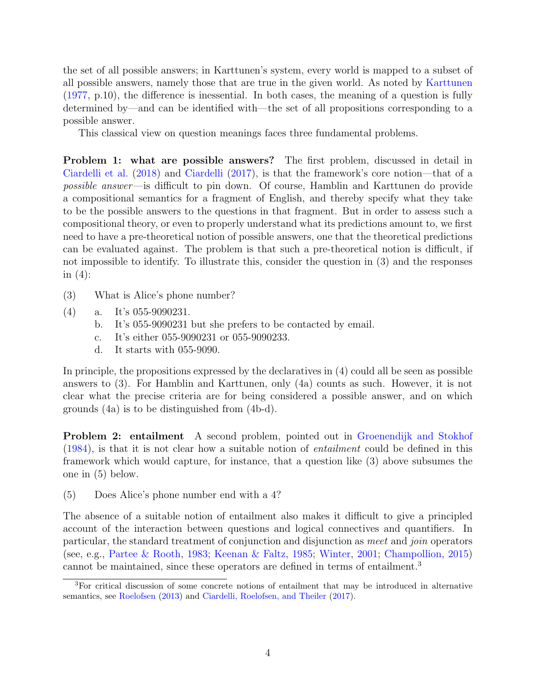the set of all possible answers; in Karttunen's system, every world is mapped to a subset of all possible answers, namely those that are true in the given world. As noted by [Karttunen](#page-19-1) [\(1977,](#page-19-1) p.10), the difference is inessential. In both cases, the meaning of a question is fully determined by—and can be identified with—the set of all propositions corresponding to a possible answer.

This classical view on question meanings faces three fundamental problems.

Problem 1: what are possible answers? The first problem, discussed in detail in [Ciardelli et al.](#page-17-1) [\(2018\)](#page-17-1) and [Ciardelli](#page-17-0) [\(2017\)](#page-17-0), is that the framework's core notion—that of a possible answer—is difficult to pin down. Of course, Hamblin and Karttunen do provide a compositional semantics for a fragment of English, and thereby specify what they take to be the possible answers to the questions in that fragment. But in order to assess such a compositional theory, or even to properly understand what its predictions amount to, we first need to have a pre-theoretical notion of possible answers, one that the theoretical predictions can be evaluated against. The problem is that such a pre-theoretical notion is difficult, if not impossible to identify. To illustrate this, consider the question in (3) and the responses in  $(4)$ :

- <span id="page-4-0"></span>(3) What is Alice's phone number?
- <span id="page-4-5"></span><span id="page-4-4"></span><span id="page-4-3"></span>(4) a. It's 055-9090231.
	- b. It's 055-9090231 but she prefers to be contacted by email.
	- c. It's either 055-9090231 or 055-9090233.
	- d. It starts with 055-9090.

<span id="page-4-6"></span>In principle, the propositions expressed by the declaratives in (4) could all be seen as possible answers to (3). For Hamblin and Karttunen, only (4a) counts as such. However, it is not clear what the precise criteria are for being considered a possible answer, and on which grounds (4a) is to be distinguished from (4b-d).

**Problem 2: entailment** A second problem, pointed out in [Groenendijk and Stokhof](#page-18-2) [\(1984\)](#page-18-2), is that it is not clear how a suitable notion of entailment could be defined in this framework which would capture, for instance, that a question like [\(3\)](#page-4-0) above subsumes the one in [\(5\)](#page-4-1) below.

<span id="page-4-1"></span>(5) Does Alice's phone number end with a 4?

The absence of a suitable notion of entailment also makes it difficult to give a principled account of the interaction between questions and logical connectives and quantifiers. In particular, the standard treatment of conjunction and disjunction as meet and join operators (see, e.g., [Partee & Rooth,](#page-19-7) [1983;](#page-19-7) [Keenan & Faltz,](#page-19-8) [1985;](#page-19-8) [Winter,](#page-21-0) [2001;](#page-21-0) [Champollion,](#page-17-6) [2015\)](#page-17-6) cannot be maintained, since these operators are defined in terms of entailment.<sup>[3](#page-4-2)</sup>

<span id="page-4-2"></span><sup>3</sup>For critical discussion of some concrete notions of entailment that may be introduced in alternative semantics, see [Roelofsen](#page-20-4) [\(2013\)](#page-20-4) and [Ciardelli, Roelofsen, and Theiler](#page-17-7) [\(2017\)](#page-17-7).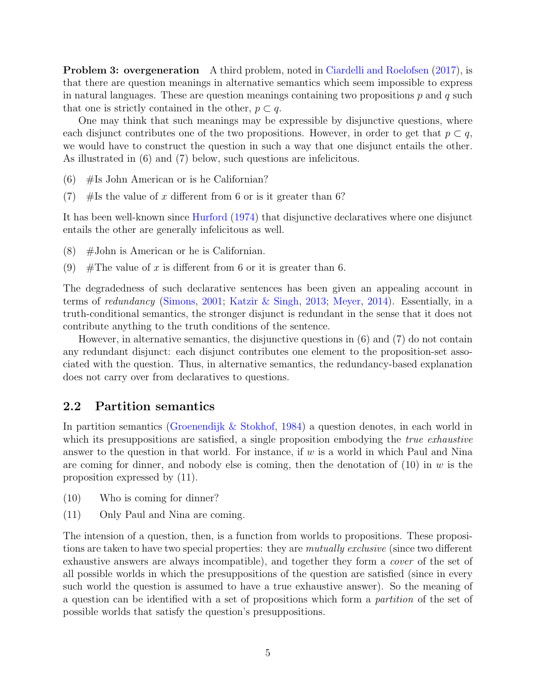**Problem 3: overgeneration** A third problem, noted in [Ciardelli and Roelofsen](#page-17-8) [\(2017\)](#page-17-8), is that there are question meanings in alternative semantics which seem impossible to express in natural languages. These are question meanings containing two propositions  $p$  and  $q$  such that one is strictly contained in the other,  $p \subset q$ .

One may think that such meanings may be expressible by disjunctive questions, where each disjunct contributes one of the two propositions. However, in order to get that  $p \subset q$ , we would have to construct the question in such a way that one disjunct entails the other. As illustrated in (6) and (7) below, such questions are infelicitous.

- <span id="page-5-2"></span><span id="page-5-1"></span> $(6)$  #Is John American or is he Californian?
- (7)  $#$ Is the value of x different from 6 or is it greater than 6?

It has been well-known since [Hurford](#page-19-9) [\(1974\)](#page-19-9) that disjunctive declaratives where one disjunct entails the other are generally infelicitous as well.

- $(8)$  #John is American or he is Californian.
- (9)  $\#$ The value of x is different from 6 or it is greater than 6.

The degradedness of such declarative sentences has been given an appealing account in terms of redundancy [\(Simons,](#page-20-5) [2001;](#page-20-5) [Katzir & Singh,](#page-19-10) [2013;](#page-19-10) [Meyer,](#page-19-11) [2014\)](#page-19-11). Essentially, in a truth-conditional semantics, the stronger disjunct is redundant in the sense that it does not contribute anything to the truth conditions of the sentence.

However, in alternative semantics, the disjunctive questions in [\(6\)](#page-5-1) and [\(7\)](#page-5-2) do not contain any redundant disjunct: each disjunct contributes one element to the proposition-set associated with the question. Thus, in alternative semantics, the redundancy-based explanation does not carry over from declaratives to questions.

#### <span id="page-5-0"></span>2.2 Partition semantics

In partition semantics [\(Groenendijk & Stokhof,](#page-18-2) [1984\)](#page-18-2) a question denotes, in each world in which its presuppositions are satisfied, a single proposition embodying the *true exhaustive* answer to the question in that world. For instance, if  $w$  is a world in which Paul and Nina are coming for dinner, and nobody else is coming, then the denotation of  $(10)$  in w is the proposition expressed by (11).

- <span id="page-5-3"></span>(10) Who is coming for dinner?
- (11) Only Paul and Nina are coming.

The intension of a question, then, is a function from worlds to propositions. These propositions are taken to have two special properties: they are *mutually exclusive* (since two different exhaustive answers are always incompatible), and together they form a cover of the set of all possible worlds in which the presuppositions of the question are satisfied (since in every such world the question is assumed to have a true exhaustive answer). So the meaning of a question can be identified with a set of propositions which form a partition of the set of possible worlds that satisfy the question's presuppositions.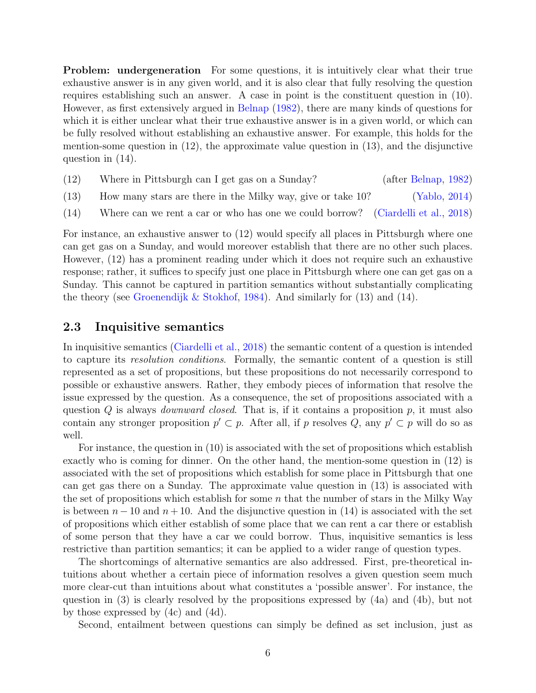**Problem:** undergeneration For some questions, it is intuitively clear what their true exhaustive answer is in any given world, and it is also clear that fully resolving the question requires establishing such an answer. A case in point is the constituent question in [\(10\).](#page-5-3) However, as first extensively argued in [Belnap](#page-17-9) [\(1982\)](#page-17-9), there are many kinds of questions for which it is either unclear what their true exhaustive answer is in a given world, or which can be fully resolved without establishing an exhaustive answer. For example, this holds for the mention-some question in [\(12\),](#page-6-1) the approximate value question in [\(13\),](#page-6-2) and the disjunctive question in [\(14\).](#page-6-3)

- <span id="page-6-2"></span><span id="page-6-1"></span>(12) Where in Pittsburgh can I get gas on a Sunday? (after [Belnap,](#page-17-9) [1982\)](#page-17-9)
- <span id="page-6-3"></span>(13) How many stars are there in the Milky way, give or take 10? [\(Yablo,](#page-21-1) [2014\)](#page-21-1)
- (14) Where can we rent a car or who has one we could borrow? [\(Ciardelli et al.,](#page-17-1) [2018\)](#page-17-1)

For instance, an exhaustive answer to [\(12\)](#page-6-1) would specify all places in Pittsburgh where one can get gas on a Sunday, and would moreover establish that there are no other such places. However, [\(12\)](#page-6-1) has a prominent reading under which it does not require such an exhaustive response; rather, it suffices to specify just one place in Pittsburgh where one can get gas on a Sunday. This cannot be captured in partition semantics without substantially complicating the theory (see [Groenendijk & Stokhof,](#page-18-2) [1984\)](#page-18-2). And similarly for  $(13)$  and  $(14)$ .

### <span id="page-6-0"></span>2.3 Inquisitive semantics

In inquisitive semantics [\(Ciardelli et al.,](#page-17-1) [2018\)](#page-17-1) the semantic content of a question is intended to capture its resolution conditions. Formally, the semantic content of a question is still represented as a set of propositions, but these propositions do not necessarily correspond to possible or exhaustive answers. Rather, they embody pieces of information that resolve the issue expressed by the question. As a consequence, the set of propositions associated with a question  $Q$  is always *downward closed*. That is, if it contains a proposition  $p$ , it must also contain any stronger proposition  $p' \subset p$ . After all, if p resolves Q, any  $p' \subset p$  will do so as well.

For instance, the question in [\(10\)](#page-5-3) is associated with the set of propositions which establish exactly who is coming for dinner. On the other hand, the mention-some question in [\(12\)](#page-6-1) is associated with the set of propositions which establish for some place in Pittsburgh that one can get gas there on a Sunday. The approximate value question in [\(13\)](#page-6-2) is associated with the set of propositions which establish for some  $n$  that the number of stars in the Milky Way is between  $n-10$  and  $n+10$ . And the disjunctive question in [\(14\)](#page-6-3) is associated with the set of propositions which either establish of some place that we can rent a car there or establish of some person that they have a car we could borrow. Thus, inquisitive semantics is less restrictive than partition semantics; it can be applied to a wider range of question types.

The shortcomings of alternative semantics are also addressed. First, pre-theoretical intuitions about whether a certain piece of information resolves a given question seem much more clear-cut than intuitions about what constitutes a 'possible answer'. For instance, the question in [\(3\)](#page-4-0) is clearly resolved by the propositions expressed by [\(4a\)](#page-4-3) and [\(4b\),](#page-4-4) but not by those expressed by [\(4c\)](#page-4-5) and [\(4d\).](#page-4-6)

Second, entailment between questions can simply be defined as set inclusion, just as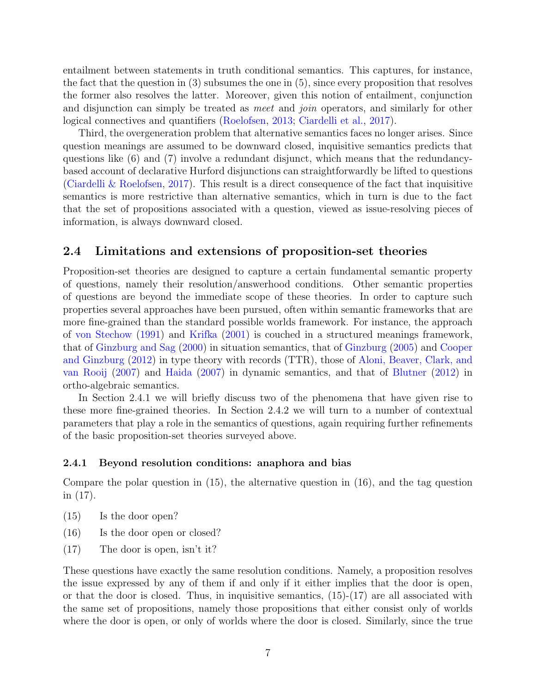entailment between statements in truth conditional semantics. This captures, for instance, the fact that the question in [\(3\)](#page-4-0) subsumes the one in [\(5\),](#page-4-1) since every proposition that resolves the former also resolves the latter. Moreover, given this notion of entailment, conjunction and disjunction can simply be treated as *meet* and *join* operators, and similarly for other logical connectives and quantifiers [\(Roelofsen,](#page-20-4) [2013;](#page-20-4) [Ciardelli et al.,](#page-17-7) [2017\)](#page-17-7).

Third, the overgeneration problem that alternative semantics faces no longer arises. Since question meanings are assumed to be downward closed, inquisitive semantics predicts that questions like [\(6\)](#page-5-1) and [\(7\)](#page-5-2) involve a redundant disjunct, which means that the redundancybased account of declarative Hurford disjunctions can straightforwardly be lifted to questions [\(Ciardelli & Roelofsen,](#page-17-8) [2017\)](#page-17-8). This result is a direct consequence of the fact that inquisitive semantics is more restrictive than alternative semantics, which in turn is due to the fact that the set of propositions associated with a question, viewed as issue-resolving pieces of information, is always downward closed.

### <span id="page-7-0"></span>2.4 Limitations and extensions of proposition-set theories

Proposition-set theories are designed to capture a certain fundamental semantic property of questions, namely their resolution/answerhood conditions. Other semantic properties of questions are beyond the immediate scope of these theories. In order to capture such properties several approaches have been pursued, often within semantic frameworks that are more fine-grained than the standard possible worlds framework. For instance, the approach of [von Stechow](#page-20-6) [\(1991\)](#page-20-6) and [Krifka](#page-19-2) [\(2001\)](#page-19-2) is couched in a structured meanings framework, that of [Ginzburg and Sag](#page-18-4) [\(2000\)](#page-18-4) in situation semantics, that of [Ginzburg](#page-18-7) [\(2005\)](#page-18-7) and [Cooper](#page-17-10) [and Ginzburg](#page-17-10) [\(2012\)](#page-17-10) in type theory with records (TTR), those of [Aloni, Beaver, Clark, and](#page-16-2) [van Rooij](#page-16-2) [\(2007\)](#page-16-2) and [Haida](#page-18-8) [\(2007\)](#page-18-8) in dynamic semantics, and that of [Blutner](#page-17-11) [\(2012\)](#page-17-11) in ortho-algebraic semantics.

In Section [2.4.1](#page-7-1) we will briefly discuss two of the phenomena that have given rise to these more fine-grained theories. In Section [2.4.2](#page-8-0) we will turn to a number of contextual parameters that play a role in the semantics of questions, again requiring further refinements of the basic proposition-set theories surveyed above.

#### <span id="page-7-1"></span>2.4.1 Beyond resolution conditions: anaphora and bias

Compare the polar question in [\(15\),](#page-7-2) the alternative question in [\(16\),](#page-7-3) and the tag question in [\(17\).](#page-7-4)

- <span id="page-7-3"></span><span id="page-7-2"></span>(15) Is the door open?
- <span id="page-7-4"></span>(16) Is the door open or closed?
- (17) The door is open, isn't it?

These questions have exactly the same resolution conditions. Namely, a proposition resolves the issue expressed by any of them if and only if it either implies that the door is open, or that the door is closed. Thus, in inquisitive semantics,  $(15)-(17)$  $(15)-(17)$  are all associated with the same set of propositions, namely those propositions that either consist only of worlds where the door is open, or only of worlds where the door is closed. Similarly, since the true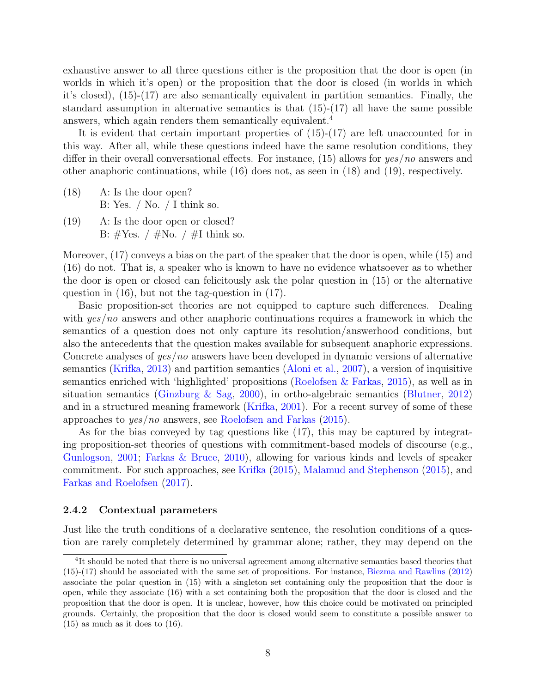exhaustive answer to all three questions either is the proposition that the door is open (in worlds in which it's open) or the proposition that the door is closed (in worlds in which it's closed), [\(15\)-](#page-7-2)[\(17\)](#page-7-4) are also semantically equivalent in partition semantics. Finally, the standard assumption in alternative semantics is that  $(15)-(17)$  $(15)-(17)$  all have the same possible answers, which again renders them semantically equivalent.<sup>[4](#page-8-1)</sup>

It is evident that certain important properties of [\(15\)-](#page-7-2)[\(17\)](#page-7-4) are left unaccounted for in this way. After all, while these questions indeed have the same resolution conditions, they differ in their overall conversational effects. For instance, [\(15\)](#page-7-2) allows for  $yes/no$  answers and other anaphoric continuations, while [\(16\)](#page-7-3) does not, as seen in (18) and (19), respectively.

- (18) A: Is the door open? B: Yes.  $\frac{\ }{\ }$  No.  $\frac{\ }{\ }$  I think so.
- (19) A: Is the door open or closed? B:  $\#Yes.$  /  $\#No.$  /  $\#I$  think so.

Moreover, [\(17\)](#page-7-4) conveys a bias on the part of the speaker that the door is open, while [\(15\)](#page-7-2) and [\(16\)](#page-7-3) do not. That is, a speaker who is known to have no evidence whatsoever as to whether the door is open or closed can felicitously ask the polar question in [\(15\)](#page-7-2) or the alternative question in [\(16\),](#page-7-3) but not the tag-question in [\(17\).](#page-7-4)

Basic proposition-set theories are not equipped to capture such differences. Dealing with yes/no answers and other anaphoric continuations requires a framework in which the semantics of a question does not only capture its resolution/answerhood conditions, but also the antecedents that the question makes available for subsequent anaphoric expressions. Concrete analyses of yes/no answers have been developed in dynamic versions of alternative semantics [\(Krifka,](#page-19-3) [2013\)](#page-19-3) and partition semantics [\(Aloni et al.,](#page-16-2) [2007\)](#page-16-2), a version of inquisitive semantics enriched with 'highlighted' propositions [\(Roelofsen & Farkas,](#page-20-0) [2015\)](#page-20-0), as well as in situation semantics [\(Ginzburg & Sag,](#page-18-4) [2000\)](#page-18-4), in ortho-algebraic semantics [\(Blutner,](#page-17-11) [2012\)](#page-17-11) and in a structured meaning framework [\(Krifka,](#page-19-2) [2001\)](#page-19-2). For a recent survey of some of these approaches to yes/no answers, see [Roelofsen and Farkas](#page-20-0) [\(2015\)](#page-20-0).

As for the bias conveyed by tag questions like [\(17\),](#page-7-4) this may be captured by integrating proposition-set theories of questions with commitment-based models of discourse (e.g., [Gunlogson,](#page-18-9) [2001;](#page-18-9) [Farkas & Bruce,](#page-18-10) [2010\)](#page-18-10), allowing for various kinds and levels of speaker commitment. For such approaches, see [Krifka](#page-19-12) [\(2015\)](#page-19-12), [Malamud and Stephenson](#page-19-13) [\(2015\)](#page-19-13), and [Farkas and Roelofsen](#page-18-11) [\(2017\)](#page-18-11).

#### <span id="page-8-0"></span>2.4.2 Contextual parameters

Just like the truth conditions of a declarative sentence, the resolution conditions of a question are rarely completely determined by grammar alone; rather, they may depend on the

<span id="page-8-1"></span><sup>&</sup>lt;sup>4</sup>It should be noted that there is no universal agreement among alternative semantics based theories that [\(15\)-](#page-7-2)[\(17\)](#page-7-4) should be associated with the same set of propositions. For instance, [Biezma and Rawlins](#page-17-12) [\(2012\)](#page-17-12) associate the polar question in [\(15\)](#page-7-2) with a singleton set containing only the proposition that the door is open, while they associate [\(16\)](#page-7-3) with a set containing both the proposition that the door is closed and the proposition that the door is open. It is unclear, however, how this choice could be motivated on principled grounds. Certainly, the proposition that the door is closed would seem to constitute a possible answer to  $(15)$  as much as it does to  $(16)$ .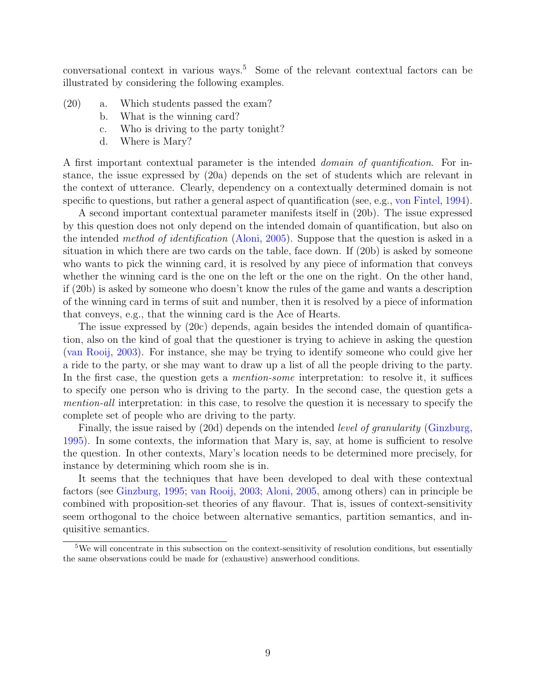conversational context in various ways.[5](#page-9-0) Some of the relevant contextual factors can be illustrated by considering the following examples.

- (20) a. Which students passed the exam?
	- b. What is the winning card?
	- c. Who is driving to the party tonight?
	- d. Where is Mary?

A first important contextual parameter is the intended domain of quantification. For instance, the issue expressed by (20a) depends on the set of students which are relevant in the context of utterance. Clearly, dependency on a contextually determined domain is not specific to questions, but rather a general aspect of quantification (see, e.g., [von Fintel,](#page-18-12) [1994\)](#page-18-12).

A second important contextual parameter manifests itself in (20b). The issue expressed by this question does not only depend on the intended domain of quantification, but also on the intended method of identification [\(Aloni,](#page-16-1) [2005\)](#page-16-1). Suppose that the question is asked in a situation in which there are two cards on the table, face down. If (20b) is asked by someone who wants to pick the winning card, it is resolved by any piece of information that conveys whether the winning card is the one on the left or the one on the right. On the other hand, if (20b) is asked by someone who doesn't know the rules of the game and wants a description of the winning card in terms of suit and number, then it is resolved by a piece of information that conveys, e.g., that the winning card is the Ace of Hearts.

The issue expressed by (20c) depends, again besides the intended domain of quantification, also on the kind of goal that the questioner is trying to achieve in asking the question [\(van Rooij,](#page-20-7) [2003\)](#page-20-7). For instance, she may be trying to identify someone who could give her a ride to the party, or she may want to draw up a list of all the people driving to the party. In the first case, the question gets a *mention-some* interpretation: to resolve it, it suffices to specify one person who is driving to the party. In the second case, the question gets a mention-all interpretation: in this case, to resolve the question it is necessary to specify the complete set of people who are driving to the party.

Finally, the issue raised by (20d) depends on the intended *level of granularity* [\(Ginzburg,](#page-18-3) [1995\)](#page-18-3). In some contexts, the information that Mary is, say, at home is sufficient to resolve the question. In other contexts, Mary's location needs to be determined more precisely, for instance by determining which room she is in.

It seems that the techniques that have been developed to deal with these contextual factors (see [Ginzburg,](#page-18-3) [1995;](#page-18-3) [van Rooij,](#page-20-7) [2003;](#page-20-7) [Aloni,](#page-16-1) [2005,](#page-16-1) among others) can in principle be combined with proposition-set theories of any flavour. That is, issues of context-sensitivity seem orthogonal to the choice between alternative semantics, partition semantics, and inquisitive semantics.

<span id="page-9-0"></span><sup>&</sup>lt;sup>5</sup>We will concentrate in this subsection on the context-sensitivity of resolution conditions, but essentially the same observations could be made for (exhaustive) answerhood conditions.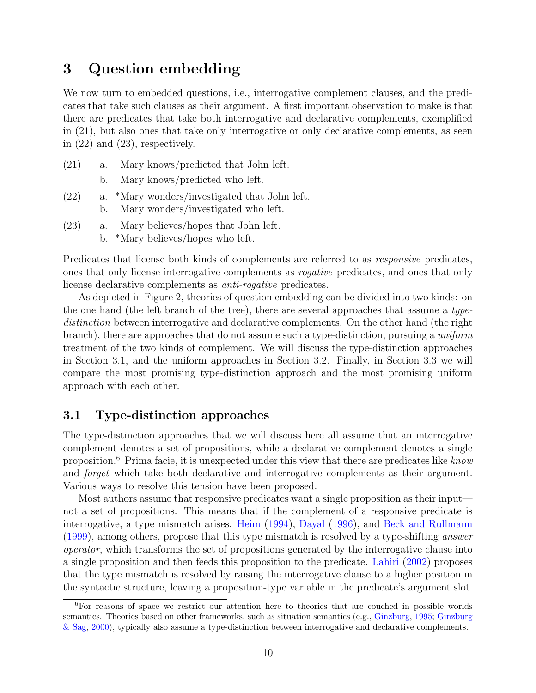## <span id="page-10-0"></span>3 Question embedding

We now turn to embedded questions, i.e., interrogative complement clauses, and the predicates that take such clauses as their argument. A first important observation to make is that there are predicates that take both interrogative and declarative complements, exemplified in [\(21\),](#page-10-1) but also ones that take only interrogative or only declarative complements, as seen in [\(22\)](#page-10-2) and [\(23\),](#page-10-3) respectively.

- <span id="page-10-1"></span>(21) a. Mary knows/predicted that John left.
	- b. Mary knows/predicted who left.
- <span id="page-10-2"></span>(22) a. \*Mary wonders/investigated that John left. b. Mary wonders/investigated who left.
- <span id="page-10-3"></span>(23) a. Mary believes/hopes that John left.
	- b. \*Mary believes/hopes who left.

Predicates that license both kinds of complements are referred to as responsive predicates, ones that only license interrogative complements as rogative predicates, and ones that only license declarative complements as *anti-rogative* predicates.

As depicted in Figure [2,](#page-11-0) theories of question embedding can be divided into two kinds: on the one hand (the left branch of the tree), there are several approaches that assume a typedistinction between interrogative and declarative complements. On the other hand (the right branch), there are approaches that do not assume such a type-distinction, pursuing a uniform treatment of the two kinds of complement. We will discuss the type-distinction approaches in Section [3.1,](#page-10-4) and the uniform approaches in Section [3.2.](#page-12-0) Finally, in Section [3.3](#page-14-0) we will compare the most promising type-distinction approach and the most promising uniform approach with each other.

### <span id="page-10-4"></span>3.1 Type-distinction approaches

The type-distinction approaches that we will discuss here all assume that an interrogative complement denotes a set of propositions, while a declarative complement denotes a single proposition.<sup>[6](#page-10-5)</sup> Prima facie, it is unexpected under this view that there are predicates like know and forget which take both declarative and interrogative complements as their argument. Various ways to resolve this tension have been proposed.

Most authors assume that responsive predicates want a single proposition as their input not a set of propositions. This means that if the complement of a responsive predicate is interrogative, a type mismatch arises. [Heim](#page-18-13) [\(1994\)](#page-18-13), [Dayal](#page-17-13) [\(1996\)](#page-17-13), and [Beck and Rullmann](#page-17-14) [\(1999\)](#page-17-14), among others, propose that this type mismatch is resolved by a type-shifting answer operator, which transforms the set of propositions generated by the interrogative clause into a single proposition and then feeds this proposition to the predicate. [Lahiri](#page-19-14) [\(2002\)](#page-19-14) proposes that the type mismatch is resolved by raising the interrogative clause to a higher position in the syntactic structure, leaving a proposition-type variable in the predicate's argument slot.

<span id="page-10-5"></span><sup>6</sup>For reasons of space we restrict our attention here to theories that are couched in possible worlds semantics. Theories based on other frameworks, such as situation semantics (e.g., [Ginzburg,](#page-18-3) [1995;](#page-18-3) [Ginzburg](#page-18-4) [& Sag,](#page-18-4) [2000\)](#page-18-4), typically also assume a type-distinction between interrogative and declarative complements.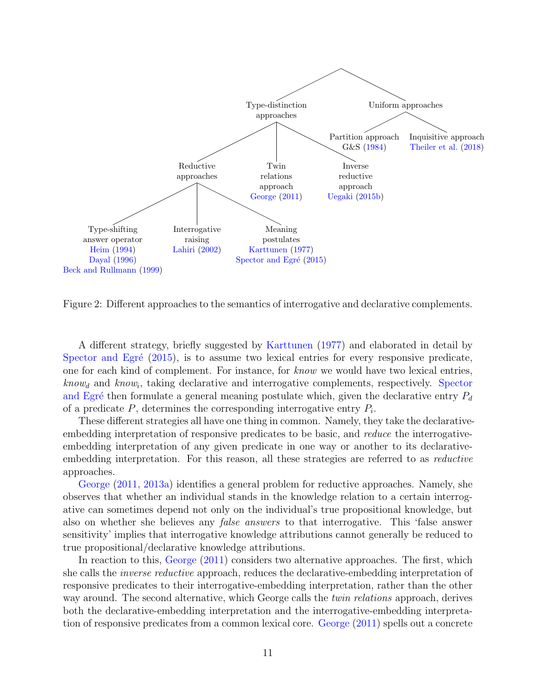

<span id="page-11-0"></span>Figure 2: Different approaches to the semantics of interrogative and declarative complements.

A different strategy, briefly suggested by [Karttunen](#page-19-1) [\(1977\)](#page-19-1) and elaborated in detail by Spector and Egré  $(2015)$ , is to assume two lexical entries for every responsive predicate, one for each kind of complement. For instance, for know we would have two lexical entries,  $know<sub>d</sub>$  and  $know<sub>i</sub>$ , taking declarative and interrogative complements, respectively. [Spector](#page-20-8) and Egré then formulate a general meaning postulate which, given the declarative entry  $P_d$ of a predicate  $P$ , determines the corresponding interrogative entry  $P_i$ .

These different strategies all have one thing in common. Namely, they take the declarativeembedding interpretation of responsive predicates to be basic, and reduce the interrogativeembedding interpretation of any given predicate in one way or another to its declarativeembedding interpretation. For this reason, all these strategies are referred to as reductive approaches.

[George](#page-18-14) [\(2011,](#page-18-14) [2013a\)](#page-18-15) identifies a general problem for reductive approaches. Namely, she observes that whether an individual stands in the knowledge relation to a certain interrogative can sometimes depend not only on the individual's true propositional knowledge, but also on whether she believes any false answers to that interrogative. This 'false answer sensitivity' implies that interrogative knowledge attributions cannot generally be reduced to true propositional/declarative knowledge attributions.

In reaction to this, [George](#page-18-14) [\(2011\)](#page-18-14) considers two alternative approaches. The first, which she calls the *inverse reductive* approach, reduces the declarative-embedding interpretation of responsive predicates to their interrogative-embedding interpretation, rather than the other way around. The second alternative, which George calls the *twin relations* approach, derives both the declarative-embedding interpretation and the interrogative-embedding interpretation of responsive predicates from a common lexical core. [George](#page-18-14) [\(2011\)](#page-18-14) spells out a concrete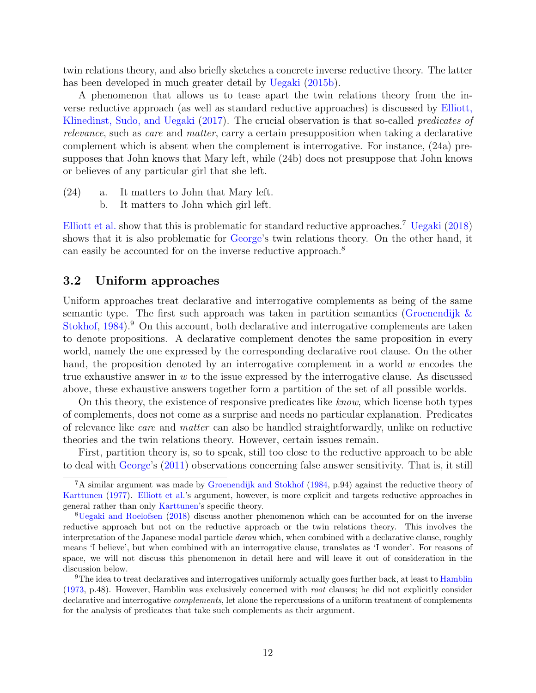twin relations theory, and also briefly sketches a concrete inverse reductive theory. The latter has been developed in much greater detail by [Uegaki](#page-20-9) [\(2015b\)](#page-20-9).

A phenomenon that allows us to tease apart the twin relations theory from the inverse reductive approach (as well as standard reductive approaches) is discussed by [Elliott,](#page-18-16) [Klinedinst, Sudo, and Uegaki](#page-18-16) [\(2017\)](#page-18-16). The crucial observation is that so-called *predicates of* relevance, such as care and matter, carry a certain presupposition when taking a declarative complement which is absent when the complement is interrogative. For instance, (24a) presupposes that John knows that Mary left, while (24b) does not presuppose that John knows or believes of any particular girl that she left.

- (24) a. It matters to John that Mary left.
	- b. It matters to John which girl left.

[Elliott et al.](#page-18-16) show that this is problematic for standard reductive approaches.[7](#page-12-1) [Uegaki](#page-20-10) [\(2018\)](#page-20-10) shows that it is also problematic for [George'](#page-18-14)s twin relations theory. On the other hand, it can easily be accounted for on the inverse reductive approach.<sup>[8](#page-12-2)</sup>

### <span id="page-12-0"></span>3.2 Uniform approaches

Uniform approaches treat declarative and interrogative complements as being of the same semantic type. The first such approach was taken in partition semantics (Groenendijk  $\&$ [Stokhof,](#page-18-2) [1984\)](#page-18-2).<sup>[9](#page-12-3)</sup> On this account, both declarative and interrogative complements are taken to denote propositions. A declarative complement denotes the same proposition in every world, namely the one expressed by the corresponding declarative root clause. On the other hand, the proposition denoted by an interrogative complement in a world  $w$  encodes the true exhaustive answer in  $w$  to the issue expressed by the interrogative clause. As discussed above, these exhaustive answers together form a partition of the set of all possible worlds.

On this theory, the existence of responsive predicates like know, which license both types of complements, does not come as a surprise and needs no particular explanation. Predicates of relevance like care and matter can also be handled straightforwardly, unlike on reductive theories and the twin relations theory. However, certain issues remain.

First, partition theory is, so to speak, still too close to the reductive approach to be able to deal with [George'](#page-18-14)s [\(2011\)](#page-18-14) observations concerning false answer sensitivity. That is, it still

<span id="page-12-1"></span> ${}^{7}$ A similar argument was made by [Groenendijk and Stokhof](#page-18-2) [\(1984,](#page-18-2) p.94) against the reductive theory of [Karttunen](#page-19-1) [\(1977\)](#page-19-1). [Elliott et al.'](#page-18-16)s argument, however, is more explicit and targets reductive approaches in general rather than only [Karttunen'](#page-19-1)s specific theory.

<span id="page-12-2"></span><sup>8</sup>[Uegaki and Roelofsen](#page-20-11) [\(2018\)](#page-20-11) discuss another phenomenon which can be accounted for on the inverse reductive approach but not on the reductive approach or the twin relations theory. This involves the interpretation of the Japanese modal particle *darou* which, when combined with a declarative clause, roughly means 'I believe', but when combined with an interrogative clause, translates as 'I wonder'. For reasons of space, we will not discuss this phenomenon in detail here and will leave it out of consideration in the discussion below.

<span id="page-12-3"></span><sup>&</sup>lt;sup>9</sup>The idea to treat declaratives and interrogatives uniformly actually goes further back, at least to [Hamblin](#page-18-1) [\(1973,](#page-18-1) p.48). However, Hamblin was exclusively concerned with root clauses; he did not explicitly consider declarative and interrogative complements, let alone the repercussions of a uniform treatment of complements for the analysis of predicates that take such complements as their argument.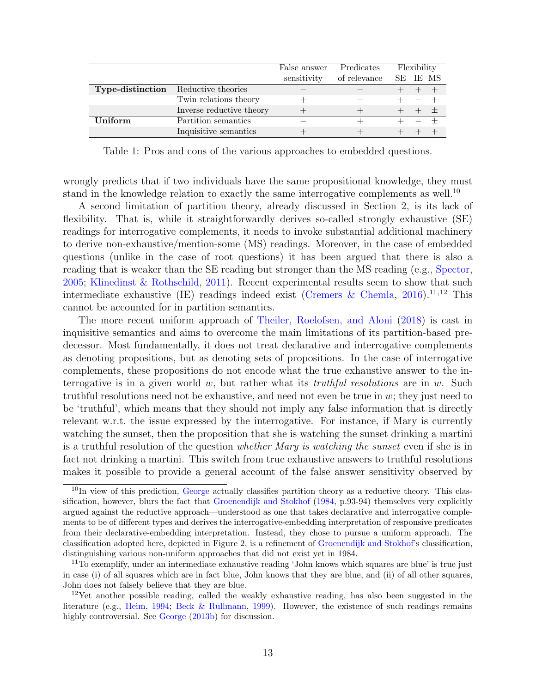|                                            |                          | False answer | Predicates   | Flexibility |  |          |
|--------------------------------------------|--------------------------|--------------|--------------|-------------|--|----------|
|                                            |                          | sensitivity  | of relevance |             |  | SE IE MS |
| <b>Type-distinction</b> Reductive theories |                          |              |              |             |  |          |
|                                            | Twin relations theory    |              |              |             |  |          |
|                                            | Inverse reductive theory |              |              |             |  | $+$ $+$  |
| Uniform                                    | Partition semantics      |              |              |             |  |          |
|                                            | Inquisitive semantics    |              |              |             |  |          |

<span id="page-13-3"></span>Table 1: Pros and cons of the various approaches to embedded questions.

wrongly predicts that if two individuals have the same propositional knowledge, they must stand in the knowledge relation to exactly the same interrogative complements as well.<sup>[10](#page-13-0)</sup>

A second limitation of partition theory, already discussed in Section [2,](#page-2-0) is its lack of flexibility. That is, while it straightforwardly derives so-called strongly exhaustive (SE) readings for interrogative complements, it needs to invoke substantial additional machinery to derive non-exhaustive/mention-some (MS) readings. Moreover, in the case of embedded questions (unlike in the case of root questions) it has been argued that there is also a reading that is weaker than the SE reading but stronger than the MS reading (e.g., [Spector,](#page-20-12) [2005;](#page-20-12) [Klinedinst & Rothschild,](#page-19-15) [2011\)](#page-19-15). Recent experimental results seem to show that such intermediate exhaustive (IE) readings indeed exist [\(Cremers & Chemla,](#page-17-15)  $2016$ ).<sup>[11](#page-13-1),[12](#page-13-2)</sup> This cannot be accounted for in partition semantics.

The more recent uniform approach of [Theiler, Roelofsen, and Aloni](#page-20-2) [\(2018\)](#page-20-2) is cast in inquisitive semantics and aims to overcome the main limitations of its partition-based predecessor. Most fundamentally, it does not treat declarative and interrogative complements as denoting propositions, but as denoting sets of propositions. In the case of interrogative complements, these propositions do not encode what the true exhaustive answer to the interrogative is in a given world w, but rather what its *truthful resolutions* are in w. Such truthful resolutions need not be exhaustive, and need not even be true in  $w$ ; they just need to be 'truthful', which means that they should not imply any false information that is directly relevant w.r.t. the issue expressed by the interrogative. For instance, if Mary is currently watching the sunset, then the proposition that she is watching the sunset drinking a martini is a truthful resolution of the question whether Mary is watching the sunset even if she is in fact not drinking a martini. This switch from true exhaustive answers to truthful resolutions makes it possible to provide a general account of the false answer sensitivity observed by

<span id="page-13-0"></span> $10$ In view of this prediction, [George](#page-18-14) actually classifies partition theory as a reductive theory. This classification, however, blurs the fact that [Groenendijk and Stokhof](#page-18-2) [\(1984,](#page-18-2) p.93-94) themselves very explicitly argued against the reductive approach—understood as one that takes declarative and interrogative complements to be of different types and derives the interrogative-embedding interpretation of responsive predicates from their declarative-embedding interpretation. Instead, they chose to pursue a uniform approach. The classification adopted here, depicted in Figure [2,](#page-11-0) is a refinement of [Groenendijk and Stokhof'](#page-18-2)s classification, distinguishing various non-uniform approaches that did not exist yet in 1984.

<span id="page-13-1"></span><sup>&</sup>lt;sup>11</sup>To exemplify, under an intermediate exhaustive reading 'John knows which squares are blue' is true just in case (i) of all squares which are in fact blue, John knows that they are blue, and (ii) of all other squares, John does not falsely believe that they are blue.

<span id="page-13-2"></span><sup>&</sup>lt;sup>12</sup>Yet another possible reading, called the weakly exhaustive reading, has also been suggested in the literature (e.g., [Heim,](#page-18-13) [1994;](#page-18-13) [Beck & Rullmann,](#page-17-14) [1999\)](#page-17-14). However, the existence of such readings remains highly controversial. See [George](#page-18-17)  $(2013b)$  for discussion.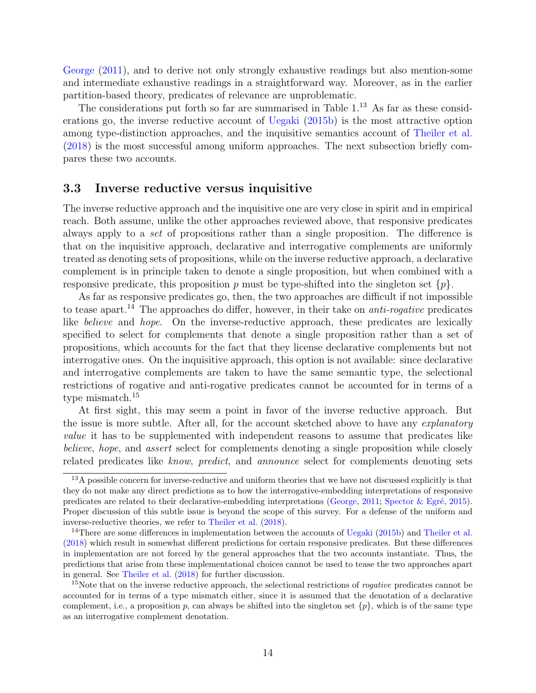[George](#page-18-14) [\(2011\)](#page-18-14), and to derive not only strongly exhaustive readings but also mention-some and intermediate exhaustive readings in a straightforward way. Moreover, as in the earlier partition-based theory, predicates of relevance are unproblematic.

The considerations put forth so far are summarised in Table  $1<sup>13</sup>$  $1<sup>13</sup>$  $1<sup>13</sup>$  As far as these considerations go, the inverse reductive account of [Uegaki](#page-20-9) [\(2015b\)](#page-20-9) is the most attractive option among type-distinction approaches, and the inquisitive semantics account of [Theiler et al.](#page-20-2) [\(2018\)](#page-20-2) is the most successful among uniform approaches. The next subsection briefly compares these two accounts.

#### <span id="page-14-0"></span>3.3 Inverse reductive versus inquisitive

The inverse reductive approach and the inquisitive one are very close in spirit and in empirical reach. Both assume, unlike the other approaches reviewed above, that responsive predicates always apply to a set of propositions rather than a single proposition. The difference is that on the inquisitive approach, declarative and interrogative complements are uniformly treated as denoting sets of propositions, while on the inverse reductive approach, a declarative complement is in principle taken to denote a single proposition, but when combined with a responsive predicate, this proposition p must be type-shifted into the singleton set  $\{p\}$ .

As far as responsive predicates go, then, the two approaches are difficult if not impossible to tease apart.<sup>[14](#page-14-2)</sup> The approaches do differ, however, in their take on *anti-rogative* predicates like *believe* and *hope*. On the inverse-reductive approach, these predicates are lexically specified to select for complements that denote a single proposition rather than a set of propositions, which accounts for the fact that they license declarative complements but not interrogative ones. On the inquisitive approach, this option is not available: since declarative and interrogative complements are taken to have the same semantic type, the selectional restrictions of rogative and anti-rogative predicates cannot be accounted for in terms of a type mismatch.<sup>[15](#page-14-3)</sup>

At first sight, this may seem a point in favor of the inverse reductive approach. But the issue is more subtle. After all, for the account sketched above to have any *explanatory* value it has to be supplemented with independent reasons to assume that predicates like believe, hope, and assert select for complements denoting a single proposition while closely related predicates like know, predict, and announce select for complements denoting sets

<span id="page-14-1"></span><sup>&</sup>lt;sup>13</sup>A possible concern for inverse-reductive and uniform theories that we have not discussed explicitly is that they do not make any direct predictions as to how the interrogative-embedding interpretations of responsive predicates are related to their declarative-embedding interpretations [\(George,](#page-18-14) [2011;](#page-18-14) Spector & Egré, [2015\)](#page-20-8). Proper discussion of this subtle issue is beyond the scope of this survey. For a defense of the uniform and inverse-reductive theories, we refer to [Theiler et al.](#page-20-2) [\(2018\)](#page-20-2).

<span id="page-14-2"></span><sup>&</sup>lt;sup>14</sup>There are some differences in implementation between the accounts of [Uegaki](#page-20-9) [\(2015b\)](#page-20-9) and [Theiler et al.](#page-20-2) [\(2018\)](#page-20-2) which result in somewhat different predictions for certain responsive predicates. But these differences in implementation are not forced by the general approaches that the two accounts instantiate. Thus, the predictions that arise from these implementational choices cannot be used to tease the two approaches apart in general. See [Theiler et al.](#page-20-2) [\(2018\)](#page-20-2) for further discussion.

<span id="page-14-3"></span><sup>&</sup>lt;sup>15</sup>Note that on the inverse reductive approach, the selectional restrictions of *rogative* predicates cannot be accounted for in terms of a type mismatch either, since it is assumed that the denotation of a declarative complement, i.e., a proposition p, can always be shifted into the singleton set  $\{p\}$ , which is of the same type as an interrogative complement denotation.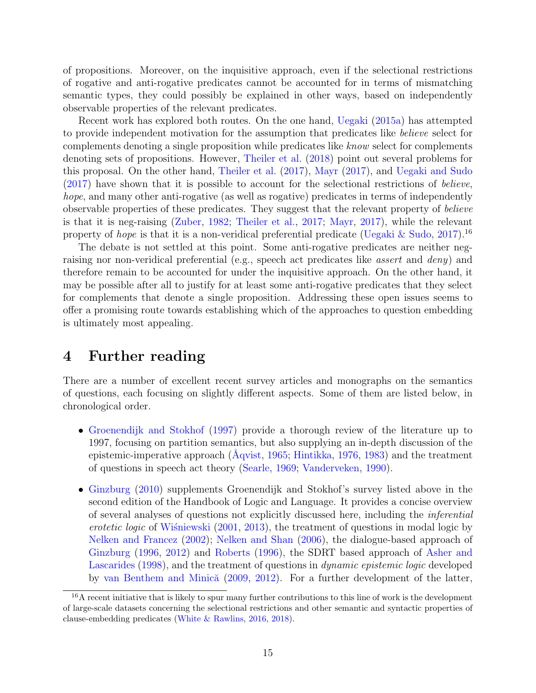of propositions. Moreover, on the inquisitive approach, even if the selectional restrictions of rogative and anti-rogative predicates cannot be accounted for in terms of mismatching semantic types, they could possibly be explained in other ways, based on independently observable properties of the relevant predicates.

Recent work has explored both routes. On the one hand, [Uegaki](#page-20-13) [\(2015a\)](#page-20-13) has attempted to provide independent motivation for the assumption that predicates like believe select for complements denoting a single proposition while predicates like know select for complements denoting sets of propositions. However, [Theiler et al.](#page-20-2) [\(2018\)](#page-20-2) point out several problems for this proposal. On the other hand, [Theiler et al.](#page-20-1) [\(2017\)](#page-20-1), [Mayr](#page-19-16) [\(2017\)](#page-19-16), and [Uegaki and Sudo](#page-20-14) [\(2017\)](#page-20-14) have shown that it is possible to account for the selectional restrictions of believe, hope, and many other anti-rogative (as well as rogative) predicates in terms of independently observable properties of these predicates. They suggest that the relevant property of believe is that it is neg-raising [\(Zuber,](#page-21-2) [1982;](#page-21-2) [Theiler et al.,](#page-20-1) [2017;](#page-20-1) [Mayr,](#page-19-16) [2017\)](#page-19-16), while the relevant property of *hope* is that it is a non-veridical preferential predicate [\(Uegaki & Sudo,](#page-20-14) [2017\)](#page-20-14).<sup>[16](#page-15-0)</sup>

The debate is not settled at this point. Some anti-rogative predicates are neither negraising nor non-veridical preferential (e.g., speech act predicates like *assert* and *deny*) and therefore remain to be accounted for under the inquisitive approach. On the other hand, it may be possible after all to justify for at least some anti-rogative predicates that they select for complements that denote a single proposition. Addressing these open issues seems to offer a promising route towards establishing which of the approaches to question embedding is ultimately most appealing.

### 4 Further reading

There are a number of excellent recent survey articles and monographs on the semantics of questions, each focusing on slightly different aspects. Some of them are listed below, in chronological order.

- [Groenendijk and Stokhof](#page-18-18) [\(1997\)](#page-18-18) provide a thorough review of the literature up to 1997, focusing on partition semantics, but also supplying an in-depth discussion of the epistemic-imperative approach  $(Aqvist, 1965; Hintikka, 1976, 1983)$  $(Aqvist, 1965; Hintikka, 1976, 1983)$  $(Aqvist, 1965; Hintikka, 1976, 1983)$  $(Aqvist, 1965; Hintikka, 1976, 1983)$  $(Aqvist, 1965; Hintikka, 1976, 1983)$  $(Aqvist, 1965; Hintikka, 1976, 1983)$  $(Aqvist, 1965; Hintikka, 1976, 1983)$  $(Aqvist, 1965; Hintikka, 1976, 1983)$  and the treatment of questions in speech act theory [\(Searle,](#page-20-15) [1969;](#page-20-15) [Vanderveken,](#page-20-16) [1990\)](#page-20-16).
- [Ginzburg](#page-18-0) [\(2010\)](#page-18-0) supplements Groenendijk and Stokhof's survey listed above in the second edition of the Handbook of Logic and Language. It provides a concise overview of several analyses of questions not explicitly discussed here, including the inferential erotetic logic of Wisniewski  $(2001, 2013)$  $(2001, 2013)$  $(2001, 2013)$ , the treatment of questions in modal logic by [Nelken and Francez](#page-19-19) [\(2002\)](#page-19-19); [Nelken and Shan](#page-19-20) [\(2006\)](#page-19-20), the dialogue-based approach of [Ginzburg](#page-18-19) [\(1996,](#page-18-19) [2012\)](#page-18-20) and [Roberts](#page-20-17) [\(1996\)](#page-20-17), the SDRT based approach of [Asher and](#page-16-4) [Lascarides](#page-16-4) [\(1998\)](#page-16-4), and the treatment of questions in dynamic epistemic logic developed by van Benthem and Minică [\(2009,](#page-17-16) [2012\)](#page-17-17). For a further development of the latter,

<span id="page-15-0"></span><sup>&</sup>lt;sup>16</sup>A recent initiative that is likely to spur many further contributions to this line of work is the development of large-scale datasets concerning the selectional restrictions and other semantic and syntactic properties of clause-embedding predicates [\(White & Rawlins,](#page-20-18) [2016,](#page-20-18) [2018\)](#page-21-5).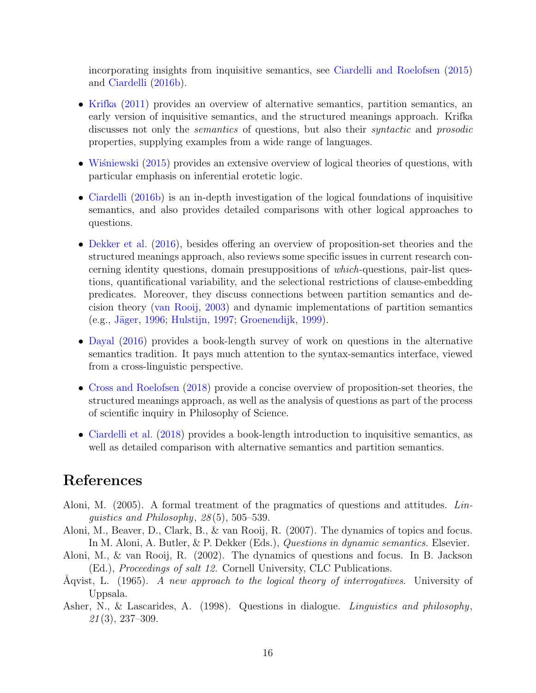incorporating insights from inquisitive semantics, see [Ciardelli and Roelofsen](#page-17-18) [\(2015\)](#page-17-18) and [Ciardelli](#page-17-19) [\(2016b\)](#page-17-19).

- [Krifka](#page-19-0) [\(2011\)](#page-19-0) provides an overview of alternative semantics, partition semantics, an early version of inquisitive semantics, and the structured meanings approach. Krifka discusses not only the semantics of questions, but also their syntactic and prosodic properties, supplying examples from a wide range of languages.
- Wiśniewski  $(2015)$  provides an extensive overview of logical theories of questions, with particular emphasis on inferential erotetic logic.
- [Ciardelli](#page-17-19) [\(2016b\)](#page-17-19) is an in-depth investigation of the logical foundations of inquisitive semantics, and also provides detailed comparisons with other logical approaches to questions.
- [Dekker et al.](#page-17-2) [\(2016\)](#page-17-2), besides offering an overview of proposition-set theories and the structured meanings approach, also reviews some specific issues in current research concerning identity questions, domain presuppositions of which-questions, pair-list questions, quantificational variability, and the selectional restrictions of clause-embedding predicates. Moreover, they discuss connections between partition semantics and decision theory [\(van Rooij,](#page-20-7) [2003\)](#page-20-7) and dynamic implementations of partition semantics (e.g., Jäger, [1996;](#page-19-4) [Hulstijn,](#page-19-5) [1997;](#page-19-5) [Groenendijk,](#page-18-5) [1999\)](#page-18-5).
- [Dayal](#page-17-3) [\(2016\)](#page-17-3) provides a book-length survey of work on questions in the alternative semantics tradition. It pays much attention to the syntax-semantics interface, viewed from a cross-linguistic perspective.
- [Cross and Roelofsen](#page-17-20) [\(2018\)](#page-17-20) provide a concise overview of proposition-set theories, the structured meanings approach, as well as the analysis of questions as part of the process of scientific inquiry in Philosophy of Science.
- [Ciardelli et al.](#page-17-1) [\(2018\)](#page-17-1) provides a book-length introduction to inquisitive semantics, as well as detailed comparison with alternative semantics and partition semantics.

## References

- <span id="page-16-1"></span>Aloni, M. (2005). A formal treatment of the pragmatics of questions and attitudes. Linguistics and Philosophy, 28 (5), 505–539.
- <span id="page-16-2"></span>Aloni, M., Beaver, D., Clark, B., & van Rooij, R. (2007). The dynamics of topics and focus. In M. Aloni, A. Butler, & P. Dekker (Eds.), Questions in dynamic semantics. Elsevier.
- <span id="page-16-0"></span>Aloni, M., & van Rooij, R. (2002). The dynamics of questions and focus. In B. Jackson (Ed.), Proceedings of salt 12. Cornell University, CLC Publications.
- <span id="page-16-3"></span>Aqvist, L. (1965). A new approach to the logical theory of interrogatives. University of Uppsala.
- <span id="page-16-4"></span>Asher, N., & Lascarides, A. (1998). Questions in dialogue. Linguistics and philosophy, 21 (3), 237–309.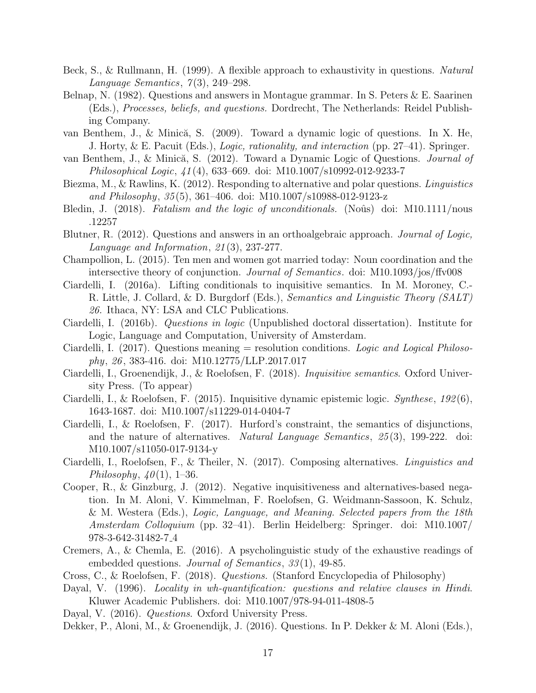- <span id="page-17-14"></span>Beck, S., & Rullmann, H. (1999). A flexible approach to exhaustivity in questions. Natural Language Semantics,  $7(3)$ , 249–298.
- <span id="page-17-9"></span>Belnap, N. (1982). Questions and answers in Montague grammar. In S. Peters & E. Saarinen (Eds.), Processes, beliefs, and questions. Dordrecht, The Netherlands: Reidel Publishing Company.
- <span id="page-17-16"></span>van Benthem, J., & Minică, S. (2009). Toward a dynamic logic of questions. In X. He, J. Horty, & E. Pacuit (Eds.), Logic, rationality, and interaction (pp. 27–41). Springer.
- <span id="page-17-17"></span>van Benthem, J., & Minică, S. (2012). Toward a Dynamic Logic of Questions. Journal of Philosophical Logic, 41 (4), 633–669. doi: M10.1007/s10992-012-9233-7
- <span id="page-17-12"></span>Biezma, M., & Rawlins, K. (2012). Responding to alternative and polar questions. Linguistics and Philosophy, 35 (5), 361–406. doi: M10.1007/s10988-012-9123-z
- <span id="page-17-5"></span>Bledin, J. (2018). Fatalism and the logic of unconditionals. (Noûs) doi: M10.1111/nous .12257
- <span id="page-17-11"></span>Blutner, R. (2012). Questions and answers in an orthoalgebraic approach. *Journal of Logic*, Language and Information, 21 (3), 237-277.
- <span id="page-17-6"></span>Champollion, L. (2015). Ten men and women got married today: Noun coordination and the intersective theory of conjunction. Journal of Semantics. doi: M10.1093/jos/ffv008
- <span id="page-17-4"></span>Ciardelli, I. (2016a). Lifting conditionals to inquisitive semantics. In M. Moroney, C.- R. Little, J. Collard, & D. Burgdorf (Eds.), Semantics and Linguistic Theory (SALT) 26. Ithaca, NY: LSA and CLC Publications.
- <span id="page-17-19"></span>Ciardelli, I. (2016b). Questions in logic (Unpublished doctoral dissertation). Institute for Logic, Language and Computation, University of Amsterdam.
- <span id="page-17-0"></span>Ciardelli, I. (2017). Questions meaning  $=$  resolution conditions. Logic and Logical Philosophy, 26 , 383-416. doi: M10.12775/LLP.2017.017
- <span id="page-17-1"></span>Ciardelli, I., Groenendijk, J., & Roelofsen, F. (2018). Inquisitive semantics. Oxford University Press. (To appear)
- <span id="page-17-18"></span>Ciardelli, I., & Roelofsen, F. (2015). Inquisitive dynamic epistemic logic. Synthese, 192 (6), 1643-1687. doi: M10.1007/s11229-014-0404-7
- <span id="page-17-8"></span>Ciardelli, I., & Roelofsen, F. (2017). Hurford's constraint, the semantics of disjunctions, and the nature of alternatives. Natural Language Semantics, 25 (3), 199-222. doi: M10.1007/s11050-017-9134-y
- <span id="page-17-7"></span>Ciardelli, I., Roelofsen, F., & Theiler, N. (2017). Composing alternatives. Linguistics and Philosophy,  $40(1)$ , 1–36.
- <span id="page-17-10"></span>Cooper, R., & Ginzburg, J. (2012). Negative inquisitiveness and alternatives-based negation. In M. Aloni, V. Kimmelman, F. Roelofsen, G. Weidmann-Sassoon, K. Schulz, & M. Westera (Eds.), Logic, Language, and Meaning. Selected papers from the 18th Amsterdam Colloquium (pp. 32–41). Berlin Heidelberg: Springer. doi: M10.1007/ 978-3-642-31482-7 4
- <span id="page-17-15"></span>Cremers, A., & Chemla, E. (2016). A psycholinguistic study of the exhaustive readings of embedded questions. *Journal of Semantics*, 33(1), 49-85.
- <span id="page-17-20"></span>Cross, C., & Roelofsen, F. (2018). Questions. (Stanford Encyclopedia of Philosophy)
- <span id="page-17-13"></span>Dayal, V. (1996). Locality in wh-quantification: questions and relative clauses in Hindi. Kluwer Academic Publishers. doi: M10.1007/978-94-011-4808-5
- <span id="page-17-3"></span>Dayal, V. (2016). *Questions*. Oxford University Press.
- <span id="page-17-2"></span>Dekker, P., Aloni, M., & Groenendijk, J. (2016). Questions. In P. Dekker & M. Aloni (Eds.),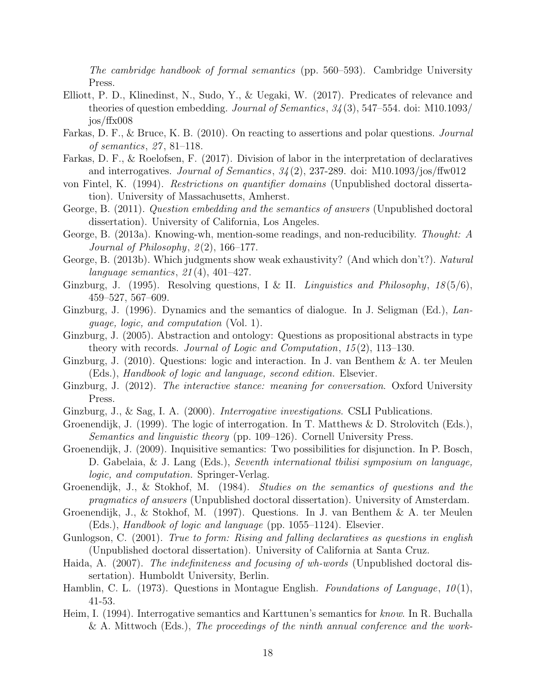The cambridge handbook of formal semantics (pp. 560–593). Cambridge University Press.

- <span id="page-18-16"></span>Elliott, P. D., Klinedinst, N., Sudo, Y., & Uegaki, W. (2017). Predicates of relevance and theories of question embedding. Journal of Semantics, 34 (3), 547–554. doi: M10.1093/ jos/ffx008
- <span id="page-18-10"></span>Farkas, D. F., & Bruce, K. B. (2010). On reacting to assertions and polar questions. *Journal* of semantics, 27 , 81–118.
- <span id="page-18-11"></span>Farkas, D. F., & Roelofsen, F. (2017). Division of labor in the interpretation of declaratives and interrogatives. Journal of Semantics,  $34(2)$ , 237-289. doi: M10.1093/jos/ffw012
- <span id="page-18-12"></span>von Fintel, K. (1994). Restrictions on quantifier domains (Unpublished doctoral dissertation). University of Massachusetts, Amherst.
- <span id="page-18-14"></span>George, B. (2011). Question embedding and the semantics of answers (Unpublished doctoral dissertation). University of California, Los Angeles.
- <span id="page-18-15"></span>George, B. (2013a). Knowing-wh, mention-some readings, and non-reducibility. Thought: A Journal of Philosophy,  $2(2)$ , 166–177.
- <span id="page-18-17"></span>George, B. (2013b). Which judgments show weak exhaustivity? (And which don't?). Natural language semantics, 21 (4), 401–427.
- <span id="page-18-3"></span>Ginzburg, J. (1995). Resolving questions, I & II. *Linguistics and Philosophy*,  $18(5/6)$ , 459–527, 567–609.
- <span id="page-18-19"></span>Ginzburg, J. (1996). Dynamics and the semantics of dialogue. In J. Seligman (Ed.), Language, logic, and computation (Vol. 1).
- <span id="page-18-7"></span>Ginzburg, J. (2005). Abstraction and ontology: Questions as propositional abstracts in type theory with records. Journal of Logic and Computation,  $15(2)$ ,  $113-130$ .
- <span id="page-18-0"></span>Ginzburg, J. (2010). Questions: logic and interaction. In J. van Benthem & A. ter Meulen (Eds.), Handbook of logic and language, second edition. Elsevier.
- <span id="page-18-20"></span>Ginzburg, J. (2012). The interactive stance: meaning for conversation. Oxford University Press.
- <span id="page-18-4"></span>Ginzburg, J., & Sag, I. A. (2000). Interrogative investigations. CSLI Publications.
- <span id="page-18-5"></span>Groenendijk, J. (1999). The logic of interrogation. In T. Matthews & D. Strolovitch (Eds.), Semantics and linguistic theory (pp. 109–126). Cornell University Press.
- <span id="page-18-6"></span>Groenendijk, J. (2009). Inquisitive semantics: Two possibilities for disjunction. In P. Bosch, D. Gabelaia, & J. Lang (Eds.), Seventh international tbilisi symposium on language, logic, and computation. Springer-Verlag.
- <span id="page-18-2"></span>Groenendijk, J., & Stokhof, M. (1984). Studies on the semantics of questions and the pragmatics of answers (Unpublished doctoral dissertation). University of Amsterdam.
- <span id="page-18-18"></span>Groenendijk, J., & Stokhof, M. (1997). Questions. In J. van Benthem & A. ter Meulen (Eds.), Handbook of logic and language (pp. 1055–1124). Elsevier.
- <span id="page-18-9"></span>Gunlogson, C. (2001). True to form: Rising and falling declaratives as questions in english (Unpublished doctoral dissertation). University of California at Santa Cruz.
- <span id="page-18-8"></span>Haida, A. (2007). The indefiniteness and focusing of wh-words (Unpublished doctoral dissertation). Humboldt University, Berlin.
- <span id="page-18-1"></span>Hamblin, C. L. (1973). Questions in Montague English. Foundations of Language,  $10(1)$ , 41-53.
- <span id="page-18-13"></span>Heim, I. (1994). Interrogative semantics and Karttunen's semantics for know. In R. Buchalla & A. Mittwoch (Eds.), The proceedings of the ninth annual conference and the work-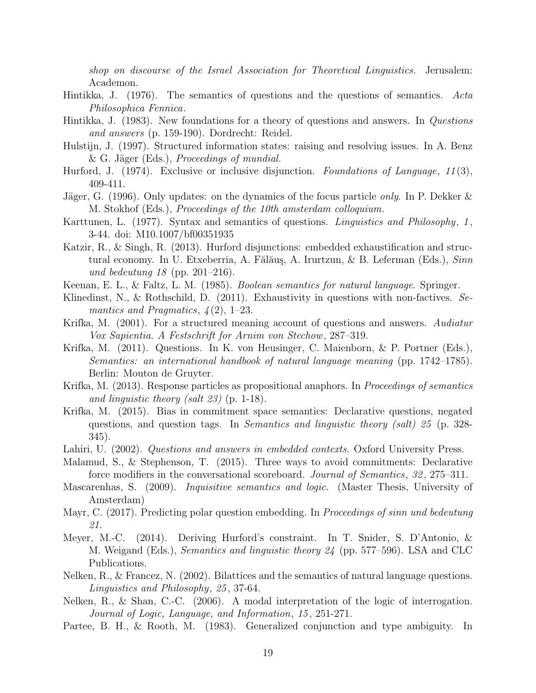shop on discourse of the Israel Association for Theoretical Linguistics. Jerusalem: Academon.

- <span id="page-19-17"></span>Hintikka, J. (1976). The semantics of questions and the questions of semantics. Acta Philosophica Fennica.
- <span id="page-19-18"></span>Hintikka, J. (1983). New foundations for a theory of questions and answers. In Questions and answers (p. 159-190). Dordrecht: Reidel.
- <span id="page-19-5"></span>Hulstijn, J. (1997). Structured information states: raising and resolving issues. In A. Benz & G. Jäger (Eds.), *Proceedings of mundial.*
- <span id="page-19-9"></span>Hurford, J.  $(1974)$ . Exclusive or inclusive disjunction. Foundations of Language, 11(3), 409-411.
- <span id="page-19-4"></span>Jäger, G. (1996). Only updates: on the dynamics of the focus particle *only*. In P. Dekker  $\&$ M. Stokhof (Eds.), Proceedings of the 10th amsterdam colloquium.
- <span id="page-19-1"></span>Karttunen, L. (1977). Syntax and semantics of questions. *Linguistics and Philosophy*, 1, 3-44. doi: M10.1007/bf00351935
- <span id="page-19-10"></span>Katzir, R., & Singh, R. (2013). Hurford disjunctions: embedded exhaustification and structural economy. In U. Etxeberria, A. Fălăuş, A. Irurtzun, & B. Leferman (Eds.), Sinn und bedeutung 18 (pp. 201–216).
- <span id="page-19-8"></span>Keenan, E. L., & Faltz, L. M. (1985). Boolean semantics for natural language. Springer.
- <span id="page-19-15"></span>Klinedinst, N., & Rothschild, D.  $(2011)$ . Exhaustivity in questions with non-factives. Semantics and Pragmatics,  $\mathcal{A}(2)$ , 1–23.
- <span id="page-19-2"></span>Krifka, M. (2001). For a structured meaning account of questions and answers. Audiatur Vox Sapientia. A Festschrift for Arnim von Stechow, 287–319.
- <span id="page-19-0"></span>Krifka, M. (2011). Questions. In K. von Heusinger, C. Maienborn, & P. Portner (Eds.), Semantics: an international handbook of natural language meaning (pp. 1742–1785). Berlin: Mouton de Gruyter.
- <span id="page-19-3"></span>Krifka, M. (2013). Response particles as propositional anaphors. In *Proceedings of semantics* and linguistic theory (salt 23) (p. 1-18).
- <span id="page-19-12"></span>Krifka, M. (2015). Bias in commitment space semantics: Declarative questions, negated questions, and question tags. In Semantics and linguistic theory (salt) 25 (p. 328- 345).
- <span id="page-19-14"></span>Lahiri, U. (2002). Questions and answers in embedded contexts. Oxford University Press.
- <span id="page-19-13"></span>Malamud, S., & Stephenson, T. (2015). Three ways to avoid commitments: Declarative force modifiers in the conversational scoreboard. Journal of Semantics, 32 , 275–311.
- <span id="page-19-6"></span>Mascarenhas, S. (2009). Inquisitive semantics and logic. (Master Thesis, University of Amsterdam)
- <span id="page-19-16"></span>Mayr, C. (2017). Predicting polar question embedding. In Proceedings of sinn und bedeutung 21.
- <span id="page-19-11"></span>Meyer, M.-C. (2014). Deriving Hurford's constraint. In T. Snider, S. D'Antonio, & M. Weigand (Eds.), Semantics and linguistic theory 24 (pp. 577–596). LSA and CLC Publications.
- <span id="page-19-19"></span>Nelken, R., & Francez, N. (2002). Bilattices and the semantics of natural language questions. Linguistics and Philosophy, 25 , 37-64.
- <span id="page-19-20"></span>Nelken, R., & Shan, C.-C. (2006). A modal interpretation of the logic of interrogation. Journal of Logic, Language, and Information, 15 , 251-271.
- <span id="page-19-7"></span>Partee, B. H., & Rooth, M. (1983). Generalized conjunction and type ambiguity. In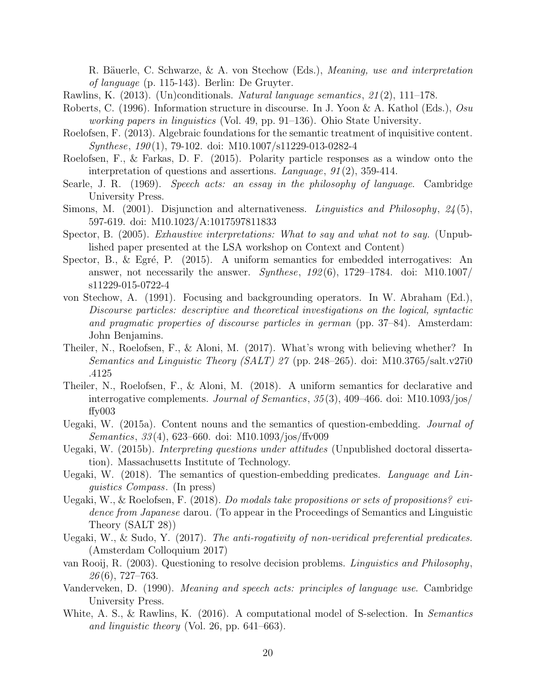R. Bäuerle, C. Schwarze, & A. von Stechow (Eds.), *Meaning, use and interpretation* of language (p. 115-143). Berlin: De Gruyter.

- <span id="page-20-3"></span>Rawlins, K. (2013). (Un)conditionals. Natural language semantics, 21 (2), 111–178.
- <span id="page-20-17"></span>Roberts, C. (1996). Information structure in discourse. In J. Yoon & A. Kathol (Eds.), Osu working papers in linguistics (Vol. 49, pp. 91–136). Ohio State University.
- <span id="page-20-4"></span>Roelofsen, F. (2013). Algebraic foundations for the semantic treatment of inquisitive content. Synthese, 190(1), 79-102. doi: M10.1007/s11229-013-0282-4
- <span id="page-20-0"></span>Roelofsen, F., & Farkas, D. F. (2015). Polarity particle responses as a window onto the interpretation of questions and assertions. Language, 91 (2), 359-414.
- <span id="page-20-15"></span>Searle, J. R. (1969). Speech acts: an essay in the philosophy of language. Cambridge University Press.
- <span id="page-20-5"></span>Simons, M. (2001). Disjunction and alternativeness. Linguistics and Philosophy, 24(5), 597-619. doi: M10.1023/A:1017597811833
- <span id="page-20-12"></span>Spector, B. (2005). Exhaustive interpretations: What to say and what not to say. (Unpublished paper presented at the LSA workshop on Context and Content)
- <span id="page-20-8"></span>Spector, B., & Egré, P.  $(2015)$ . A uniform semantics for embedded interrogatives: An answer, not necessarily the answer. Synthese,  $192(6)$ , 1729–1784. doi: M10.1007/ s11229-015-0722-4
- <span id="page-20-6"></span>von Stechow, A. (1991). Focusing and backgrounding operators. In W. Abraham (Ed.), Discourse particles: descriptive and theoretical investigations on the logical, syntactic and pragmatic properties of discourse particles in german (pp. 37–84). Amsterdam: John Benjamins.
- <span id="page-20-1"></span>Theiler, N., Roelofsen, F., & Aloni, M. (2017). What's wrong with believing whether? In Semantics and Linguistic Theory (SALT) 27 (pp. 248–265). doi: M10.3765/salt.v27i0 .4125
- <span id="page-20-2"></span>Theiler, N., Roelofsen, F., & Aloni, M. (2018). A uniform semantics for declarative and interrogative complements. Journal of Semantics, 35 (3), 409–466. doi: M10.1093/jos/ ffy003
- <span id="page-20-13"></span>Uegaki, W. (2015a). Content nouns and the semantics of question-embedding. Journal of Semantics, 33 (4), 623–660. doi: M10.1093/jos/ffv009
- <span id="page-20-9"></span>Uegaki, W. (2015b). Interpreting questions under attitudes (Unpublished doctoral dissertation). Massachusetts Institute of Technology.
- <span id="page-20-10"></span>Uegaki, W. (2018). The semantics of question-embedding predicates. Language and Linguistics Compass. (In press)
- <span id="page-20-11"></span>Uegaki, W., & Roelofsen, F. (2018). Do modals take propositions or sets of propositions? evidence from Japanese darou. (To appear in the Proceedings of Semantics and Linguistic Theory (SALT 28))
- <span id="page-20-14"></span>Uegaki, W., & Sudo, Y. (2017). The anti-rogativity of non-veridical preferential predicates. (Amsterdam Colloquium 2017)
- <span id="page-20-7"></span>van Rooij, R. (2003). Questioning to resolve decision problems. Linguistics and Philosophy,  $26(6)$ , 727–763.
- <span id="page-20-16"></span>Vanderveken, D. (1990). Meaning and speech acts: principles of language use. Cambridge University Press.
- <span id="page-20-18"></span>White, A. S., & Rawlins, K. (2016). A computational model of S-selection. In Semantics and linguistic theory (Vol. 26, pp. 641–663).